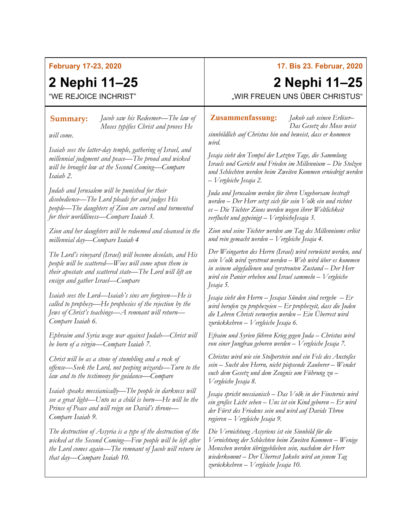### **February 17-23, 2020**

## **2 Nephi 11–25**

"WE REJOICE INCHRIST"

*Jacob saw his Redeemer—The law of*  **Summary: Zusammenfassung:***Moses typifies Christ and proves He* 

*will come.*

*Isaiah sees the latter-day temple, gathering of Israel, and millennial judgment and peace—The proud and wicked will be brought low at the Second Coming—Compare Isaiah 2.*

*Judah and Jerusalem will be punished for their disobedience—The Lord pleads for and judges His people—The daughters of Zion are cursed and tormented for their worldliness—Compare Isaiah 3.*

*Zion and her daughters will be redeemed and cleansed in the millennial day—Compare Isaiah 4*

*The Lord's vineyard (Israel) will become desolate, and His people will be scattered—Woes will come upon them in their apostate and scattered state—The Lord will lift an ensign and gather Israel—Compare* 

*Isaiah sees the Lord—Isaiah's sins are forgiven—He is called to prophesy—He prophesies of the rejection by the Jews of Christ's teachings—A remnant will return— Compare [Isaiah 6.](https://www.churchofjesuschrist.org/study/scriptures/ot/isa/6?lang=eng)* 

*Ephraim and Syria wage war against Judah—Christ will be born of a virgin—Compare [Isaiah 7.](https://www.churchofjesuschrist.org/study/scriptures/ot/isa/7?lang=eng)* 

*Christ will be as a stone of stumbling and a rock of offense—Seek the Lord, not peeping wizards—Turn to the law and to the testimony for guidance—Compare* 

*Isaiah speaks messianically—The people in darkness will see a great light—Unto us a child is born—He will be the Prince of Peace and will reign on David's throne— Compare [Isaiah 9.](https://www.churchofjesuschrist.org/study/scriptures/ot/isa/9?lang=eng)*

*The destruction of Assyria is a type of the destruction of the wicked at the Second Coming—Few people will be left after the Lord comes again—The remnant of Jacob will return in that day—Compare [Isaiah 10.](https://www.churchofjesuschrist.org/study/scriptures/ot/isa/10?lang=eng)*

### **17. Bis 23. Februar, 2020**

# **2 Nephi 11–25**

"WIR FREUEN UNS ÜBER CHRISTUS"

*Jakob sah seinen Erlöser– Das Gesetz des Mose weist* 

*sinnbildlich auf Christus hin und beweist, dass er kommen wird.*

*Jesaja sieht den Tempel der Letzten Tage, die Sammlung Israels und Gericht und Frieden im Millennium – Die Stolzen und Schlechten werden beim Zweiten Kommen erniedrigt werden – Vergleiche Jesaja 2.*

*Juda und Jerusalem werden für ihren Ungehorsam bestraft werden – Der Herr setzt sich für sein Volk ein und richtet es – Die Töchter Zions werden wegen ihrer Weltlichkeit verflucht und gepeinigt – VergleicheJesaja 3.*

*Zion und seine Töchter werden am Tag des Millenniums erlöst und rein gemacht werden – Vergleiche [Jesaja 4.](https://www.churchofjesuschrist.org/study/scriptures/ot/isa/4?lang=deu)*

*Der Weingarten des Herrn (Israel) wird verwüstet werden, und sein Volk wird zerstreut werden – Weh wird über es kommen in seinem abgefallenen und zerstreuten Zustand – Der Herr wird ein Panier erheben und Israel sammeln – Vergleiche Jesaja 5.*

*Jesaja sieht den Herrn – Jesajas Sünden sind vergebe – Er wird berufen zu prophezeien – Er prophezeit, dass die Juden die Lehren Christi verwerfen werden – Ein Überrest wird zurückkehren – Vergleiche Jesaja 6.*

*Efraim und Syrien führen Krieg gegen Juda – Christus wird von einer Jungfrau geboren werden – Vergleiche Jesaja 7.*

*Christus wird wie ein Stolperstein und ein Fels des Anstoßes sein – Sucht den Herrn, nicht piepsende Zauberer – Wendet euch dem Gesetz und dem Zeugnis um Führung zu – Vergleiche [Jesaja](https://www.churchofjesuschrist.org/study/scriptures/ot/isa/8?lang=deu) 8.*

*Jesaja spricht messianisch – Das Volk in der Finsternis wird ein großes Licht sehen – Uns ist ein Kind geboren – Er wird der Fürst des Friedens sein und wird auf Davids Thron regieren – Vergleiche Jesaja 9.*

*Die Vernichtung Assyriens ist ein Sinnbild für die Vernichtung der Schlechten beim Zweiten Kommen – Wenige Menschen werden übriggeblieben sein, nachdem der Herr wiederkommt – Der Überrest Jakobs wird an jenem Tag zurückkehren – Vergleiche Jesaja 10.*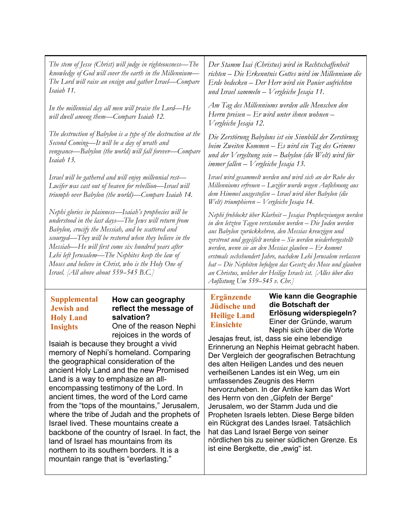| The stem of Jesse (Christ) will judge in righteousness—The                                                                                                                                                                                                                                                                                                                                                                                  | Der Stamm Isai (Christus) wird in Rechtschaffenheit                                                                                                                                                                                                                                                                                                                                                                                                                                                                                          |
|---------------------------------------------------------------------------------------------------------------------------------------------------------------------------------------------------------------------------------------------------------------------------------------------------------------------------------------------------------------------------------------------------------------------------------------------|----------------------------------------------------------------------------------------------------------------------------------------------------------------------------------------------------------------------------------------------------------------------------------------------------------------------------------------------------------------------------------------------------------------------------------------------------------------------------------------------------------------------------------------------|
| knowledge of God will cover the earth in the Millennium-                                                                                                                                                                                                                                                                                                                                                                                    | richten – Die Erkenntnis Gottes wird im Millennium die                                                                                                                                                                                                                                                                                                                                                                                                                                                                                       |
| The Lord will raise an ensign and gather Israel–Compare                                                                                                                                                                                                                                                                                                                                                                                     | Erde bedecken – Der Herr wird ein Panier aufrichten                                                                                                                                                                                                                                                                                                                                                                                                                                                                                          |
| Isaiah 11.                                                                                                                                                                                                                                                                                                                                                                                                                                  | und Israel sammeln – Vergleiche Jesaja 11.                                                                                                                                                                                                                                                                                                                                                                                                                                                                                                   |
| In the millennial day all men will praise the Lord—He<br>will dwell among them-Compare Isaiah 12.                                                                                                                                                                                                                                                                                                                                           | Am Tag des Millenniums werden alle Menschen den<br>Herrn preisen – Er wird unter ihnen wohnen –<br>Vergleiche Jesaja 12.                                                                                                                                                                                                                                                                                                                                                                                                                     |
| The destruction of Babylon is a type of the destruction at the                                                                                                                                                                                                                                                                                                                                                                              | Die Zerstörung Babylons ist ein Sinnbild der Zerstörung                                                                                                                                                                                                                                                                                                                                                                                                                                                                                      |
| Second Coming—It will be a day of wrath and                                                                                                                                                                                                                                                                                                                                                                                                 | beim Zweiten Kommen – Es wird ein Tag des Grimms                                                                                                                                                                                                                                                                                                                                                                                                                                                                                             |
| vengeance—Babylon (the world) will fall forever—Compare                                                                                                                                                                                                                                                                                                                                                                                     | und der Vergeltung sein $-$ Babylon (die Welt) wird für                                                                                                                                                                                                                                                                                                                                                                                                                                                                                      |
| Isaiah 13.                                                                                                                                                                                                                                                                                                                                                                                                                                  | immer fallen – Vergleiche Jesaja 13.                                                                                                                                                                                                                                                                                                                                                                                                                                                                                                         |
| Israel will be gathered and will enjoy millennial rest-<br>Lucifer was cast out of heaven for rebellion-Israel will<br>triumph over Babylon (the world)—Compare Isaiah 14.                                                                                                                                                                                                                                                                  | Israel wird gesammelt werden und wird sich an der Ruhe des<br>Millenniums erfreuen – Luzifer wurde wegen Auflehnung aus<br>dem Himmel ausgestoßen - Israel wird über Babylon (die<br>Welt) triumphieren - Vergleiche Jesaja 14.                                                                                                                                                                                                                                                                                                              |
| Nephi glories in plainness—Isaiah's prophecies will be<br>understood in the last days—The Jews will return from<br>Babylon, crucify the Messiah, and be scattered and<br>scourged—They will be restored when they believe in the<br>Messiah-He will first come six hundred years after<br>Lehi left Jerusalem—The Nephites keep the law of<br>Moses and believe in Christ, who is the Holy One of<br>Israel. [All above about 559–545 B.C.] | Nephi frohlockt über Klarheit – Jesajas Prophezeiungen werden<br>in den letzten Tagen verstanden werden – Die Juden werden<br>aus Babylon zurückkehren, den Messias kreuzigen und<br>zerstreut und gegeißelt werden - Sie werden wiederhergestellt<br>werden, wenn sie an den Messias glauben – Er kommt<br>erstmals sechshundert Jahre, nachdem Lehi Jerusalem verlassen<br>hat – Die Nephiten befolgen das Gesetz des Mose und glauben<br>an Christus, welcher der Heilige Israels ist. [Alles über dies<br>Auflistung Um 559–545 v. Chr.] |
| <b>Supplemental</b>                                                                                                                                                                                                                                                                                                                                                                                                                         | Wie kann die Geographie                                                                                                                                                                                                                                                                                                                                                                                                                                                                                                                      |
| How can geography                                                                                                                                                                                                                                                                                                                                                                                                                           | Ergänzende                                                                                                                                                                                                                                                                                                                                                                                                                                                                                                                                   |
| <b>Jewish and</b>                                                                                                                                                                                                                                                                                                                                                                                                                           | die Botschaft der                                                                                                                                                                                                                                                                                                                                                                                                                                                                                                                            |
| reflect the message of                                                                                                                                                                                                                                                                                                                                                                                                                      | <b>Jüdische und</b>                                                                                                                                                                                                                                                                                                                                                                                                                                                                                                                          |
| salvation?                                                                                                                                                                                                                                                                                                                                                                                                                                  | Erlösung widerspiegeln?                                                                                                                                                                                                                                                                                                                                                                                                                                                                                                                      |
| <b>Holy Land</b>                                                                                                                                                                                                                                                                                                                                                                                                                            | <b>Heilige Land</b>                                                                                                                                                                                                                                                                                                                                                                                                                                                                                                                          |
| One of the reason Nephi                                                                                                                                                                                                                                                                                                                                                                                                                     | Einer der Gründe, warum                                                                                                                                                                                                                                                                                                                                                                                                                                                                                                                      |
| <b>Insights</b>                                                                                                                                                                                                                                                                                                                                                                                                                             | <b>Einsichte</b>                                                                                                                                                                                                                                                                                                                                                                                                                                                                                                                             |
| rejoices in the words of                                                                                                                                                                                                                                                                                                                                                                                                                    | Nephi sich über die Worte                                                                                                                                                                                                                                                                                                                                                                                                                                                                                                                    |
| Isaiah is because they brought a vivid                                                                                                                                                                                                                                                                                                                                                                                                      | Jesajas freut, ist, dass sie eine lebendige                                                                                                                                                                                                                                                                                                                                                                                                                                                                                                  |
| memory of Nephi's homeland. Comparing                                                                                                                                                                                                                                                                                                                                                                                                       | Erinnerung an Nephis Heimat gebracht haben.                                                                                                                                                                                                                                                                                                                                                                                                                                                                                                  |
| the geographical consideration of the                                                                                                                                                                                                                                                                                                                                                                                                       | Der Vergleich der geografischen Betrachtung                                                                                                                                                                                                                                                                                                                                                                                                                                                                                                  |
| ancient Holy Land and the new Promised                                                                                                                                                                                                                                                                                                                                                                                                      | des alten Heiligen Landes und des neuen                                                                                                                                                                                                                                                                                                                                                                                                                                                                                                      |
| Land is a way to emphasize an all-                                                                                                                                                                                                                                                                                                                                                                                                          | verheißenen Landes ist ein Weg, um ein                                                                                                                                                                                                                                                                                                                                                                                                                                                                                                       |
| encompassing testimony of the Lord. In                                                                                                                                                                                                                                                                                                                                                                                                      | umfassendes Zeugnis des Herrn                                                                                                                                                                                                                                                                                                                                                                                                                                                                                                                |
| ancient times, the word of the Lord came                                                                                                                                                                                                                                                                                                                                                                                                    | hervorzuheben. In der Antike kam das Wort                                                                                                                                                                                                                                                                                                                                                                                                                                                                                                    |
| from the "tops of the mountains," Jerusalem,                                                                                                                                                                                                                                                                                                                                                                                                | des Herrn von den "Gipfeln der Berge"                                                                                                                                                                                                                                                                                                                                                                                                                                                                                                        |
| where the tribe of Judah and the prophets of                                                                                                                                                                                                                                                                                                                                                                                                | Jerusalem, wo der Stamm Juda und die                                                                                                                                                                                                                                                                                                                                                                                                                                                                                                         |
| Israel lived. These mountains create a                                                                                                                                                                                                                                                                                                                                                                                                      | Propheten Israels lebten. Diese Berge bilden                                                                                                                                                                                                                                                                                                                                                                                                                                                                                                 |
| backbone of the country of Israel. In fact, the                                                                                                                                                                                                                                                                                                                                                                                             | ein Rückgrat des Landes Israel. Tatsächlich                                                                                                                                                                                                                                                                                                                                                                                                                                                                                                  |
| land of Israel has mountains from its                                                                                                                                                                                                                                                                                                                                                                                                       | hat das Land Israel Berge von seiner                                                                                                                                                                                                                                                                                                                                                                                                                                                                                                         |
| northern to its southern borders. It is a                                                                                                                                                                                                                                                                                                                                                                                                   | nördlichen bis zu seiner südlichen Grenze. Es                                                                                                                                                                                                                                                                                                                                                                                                                                                                                                |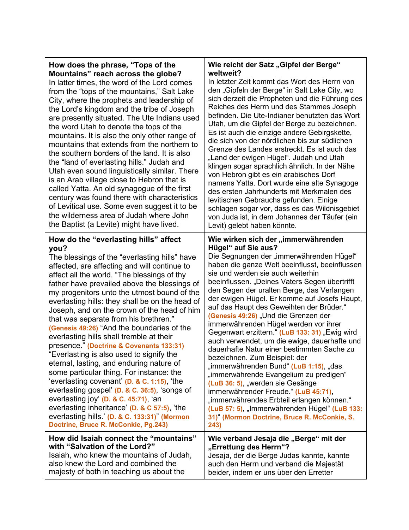|  | How does the phrase, "Tops of the<br>Mountains" reach across the globe?<br>In latter times, the word of the Lord comes<br>from the "tops of the mountains," Salt Lake<br>City, where the prophets and leadership of<br>the Lord's kingdom and the tribe of Joseph<br>are presently situated. The Ute Indians used<br>the word Utah to denote the tops of the<br>mountains. It is also the only other range of<br>mountains that extends from the northern to<br>the southern borders of the land. It is also<br>the "land of everlasting hills." Judah and<br>Utah even sound linguistically similar. There<br>is an Arab village close to Hebron that is<br>called Yatta. An old synagogue of the first<br>century was found there with characteristics<br>of Levitical use. Some even suggest it to be<br>the wilderness area of Judah where John<br>the Baptist (a Levite) might have lived.                                                                                                          | Wie reicht der Satz "Gipfel der Berge"<br>weltweit?<br>In letzter Zeit kommt das Wort des Herrn von<br>den "Gipfeln der Berge" in Salt Lake City, wo<br>sich derzeit die Propheten und die Führung des<br>Reiches des Herrn und des Stammes Joseph<br>befinden. Die Ute-Indianer benutzten das Wort<br>Utah, um die Gipfel der Berge zu bezeichnen.<br>Es ist auch die einzige andere Gebirgskette,<br>die sich von der nördlichen bis zur südlichen<br>Grenze des Landes erstreckt. Es ist auch das<br>"Land der ewigen Hügel". Judah und Utah<br>klingen sogar sprachlich ähnlich. In der Nähe<br>von Hebron gibt es ein arabisches Dorf<br>namens Yatta. Dort wurde eine alte Synagoge<br>des ersten Jahrhunderts mit Merkmalen des<br>levitischen Gebrauchs gefunden. Einige<br>schlagen sogar vor, dass es das Wildnisgebiet<br>von Juda ist, in dem Johannes der Täufer (ein<br>Levit) gelebt haben könnte.                                                                |
|--|----------------------------------------------------------------------------------------------------------------------------------------------------------------------------------------------------------------------------------------------------------------------------------------------------------------------------------------------------------------------------------------------------------------------------------------------------------------------------------------------------------------------------------------------------------------------------------------------------------------------------------------------------------------------------------------------------------------------------------------------------------------------------------------------------------------------------------------------------------------------------------------------------------------------------------------------------------------------------------------------------------|----------------------------------------------------------------------------------------------------------------------------------------------------------------------------------------------------------------------------------------------------------------------------------------------------------------------------------------------------------------------------------------------------------------------------------------------------------------------------------------------------------------------------------------------------------------------------------------------------------------------------------------------------------------------------------------------------------------------------------------------------------------------------------------------------------------------------------------------------------------------------------------------------------------------------------------------------------------------------------|
|  | How do the "everlasting hills" affect<br>you?<br>The blessings of the "everlasting hills" have<br>affected, are affecting and will continue to<br>affect all the world. "The blessings of thy<br>father have prevailed above the blessings of<br>my progenitors unto the utmost bound of the<br>everlasting hills: they shall be on the head of<br>Joseph, and on the crown of the head of him<br>that was separate from his brethren."<br>(Genesis 49:26) "And the boundaries of the<br>everlasting hills shall tremble at their<br>presence." (Doctrine & Covenants 133:31)<br>"Everlasting is also used to signify the<br>eternal, lasting, and enduring nature of<br>some particular thing. For instance: the<br>'everlasting covenant' (D. & C. 1:15), 'the<br>everlasting gospel' (D. & C. 36:5), 'songs of<br>everlasting joy' ( $D.$ & $C.$ 45:71), 'an<br>everlasting inheritance' (D. & C 57:5), 'the<br>everlasting hills.' (D. & C. 133:31)" (Mormon<br>Doctrine, Bruce R. McConkie, Pg.243) | Wie wirken sich der "immerwährenden<br>Hügel" auf Sie aus?<br>Die Segnungen der "immerwährenden Hügel"<br>haben die ganze Welt beeinflusst, beeinflussen<br>sie und werden sie auch weiterhin<br>beeinflussen. "Deines Vaters Segen übertrifft<br>den Segen der uralten Berge, das Verlangen<br>der ewigen Hügel. Er komme auf Josefs Haupt,<br>auf das Haupt des Geweihten der Brüder."<br>(Genesis 49:26) "Und die Grenzen der<br>immerwährenden Hügel werden vor ihrer<br>Gegenwart erzittern." (LuB 133: 31) "Ewig wird<br>auch verwendet, um die ewige, dauerhafte und<br>dauerhafte Natur einer bestimmten Sache zu<br>bezeichnen. Zum Beispiel: der<br>"immerwährenden Bund" (LuB 1:15), "das<br>"immerwährende Evangelium zu predigen"<br>(LuB 36: 5), "werden sie Gesänge<br>immerwährender Freude " (LuB 45:71),<br>"immerwährendes Erbteil erlangen können."<br>(LuB 57: 5), "Immerwährenden Hügel" (LuB 133:<br>31)" (Mormon Doctrine, Bruce R. McConkie, S.<br>243) |
|  | How did Isaiah connect the "mountains"<br>with "Salvation of the Lord?"<br>Isaiah, who knew the mountains of Judah,                                                                                                                                                                                                                                                                                                                                                                                                                                                                                                                                                                                                                                                                                                                                                                                                                                                                                      | Wie verband Jesaja die "Berge" mit der<br>"Errettung des Herrn"?<br>Jesaja, der die Berge Judas kannte, kannte                                                                                                                                                                                                                                                                                                                                                                                                                                                                                                                                                                                                                                                                                                                                                                                                                                                                   |

┯

auch den Herrn und verband die Majestät beider, indem er uns über den Erretter

also knew the Lord and combined the majesty of both in teaching us about the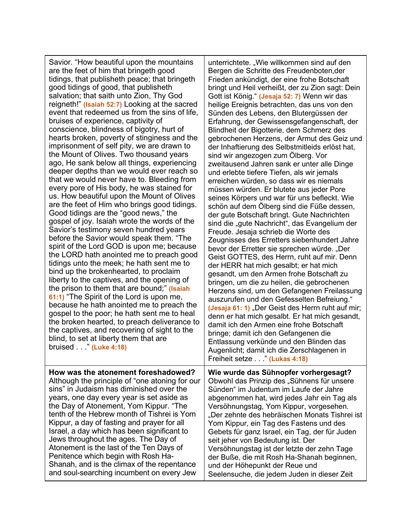Savior. "How beautiful upon the mountains are the feet of him that bringeth good tidings, that publisheth peace; that bringeth good tidings of good, that publisheth salvation; that saith unto Zion, Thy God reigneth!" **(Isaiah 52:7)** Looking at the sacred event that redeemed us from the sins of life, bruises of experience, captivity of conscience, blindness of bigotry, hurt of hearts broken, poverty of stinginess and the imprisonment of self pity, we are drawn to the Mount of Olives. Two thousand years ago, He sank below all things, experiencing deeper depths than we would ever reach so that we would never have to. Bleeding from every pore of His body, he was stained for us. How beautiful upon the Mount of Olives are the feet of Him who brings good tidings. Good tidings are the "good news," the gospel of joy. Isaiah wrote the words of the Savior's testimony seven hundred years before the Savior would speak them. "The spirit of the Lord GOD is upon me; because the LORD hath anointed me to preach good tidings unto the meek; he hath sent me to bind up the brokenhearted, to proclaim liberty to the captives, and the opening of the prison to them that are bound;" **(Isaiah 61:1)** "The Spirit of the Lord is upon me, because he hath anointed me to preach the gospel to the poor; he hath sent me to heal the broken hearted, to preach deliverance to the captives, and recovering of sight to the blind, to set at liberty them that are bruised . . ." **(Luke 4:18) How was the atonement foreshadowed?** Although the principle of "one atoning for our sins" in Judaism has diminished over the years, one day every year is set aside as the Day of Atonement, Yom Kippur. "The tenth of the Hebrew month of Tishrei is Yom

Kippur, a day of fasting and prayer for all Israel, a day which has been significant to Jews throughout the ages. The Day of Atonement is the last of the Ten Days of Penitence which begin with Rosh Ha-

Shanah, and is the climax of the repentance and soul-searching incumbent on every Jew

unterrichtete. "Wie willkommen sind auf den Bergen die Schritte des Freudenboten,der Frieden ankündigt, der eine frohe Botschaft bringt und Heil verheißt, der zu Zion sagt: Dein Gott ist König." **(Jesaja 52: 7)** Wenn wir das heilige Ereignis betrachten, das uns von den Sünden des Lebens, den Blutergüssen der Erfahrung, der Gewissensgefangenschaft, der Blindheit der Bigotterie, dem Schmerz des gebrochenen Herzens, der Armut des Geiz und der Inhaftierung des Selbstmitleids erlöst hat, sind wir angezogen zum Ölberg. Vor zweitausend Jahren sank er unter alle Dinge und erlebte tiefere Tiefen, als wir jemals erreichen würden, so dass wir es niemals müssen würden. Er blutete aus jeder Pore seines Körpers und war für uns befleckt. Wie schön auf dem Ölberg sind die Füße dessen, der gute Botschaft bringt. Gute Nachrichten sind die "gute Nachricht", das Evangelium der Freude. Jesaja schrieb die Worte des Zeugnisses des Erretters siebenhundert Jahre bevor der Erretter sie sprechen würde. "Der Geist GOTTES, des Herrn, ruht auf mir. Denn der HERR hat mich gesalbt; er hat mich gesandt, um den Armen frohe Botschaft zu bringen, um die zu heilen, die gebrochenen Herzens sind, um den Gefangenen Freilassung auszurufen und den Gefesselten Befreiung." **(Jesaja 61: 1)** "Der Geist des Herrn ruht auf mir; denn er hat mich gesalbt. Er hat mich gesandt, damit ich den Armen eine frohe Botschaft bringe; damit ich den Gefangenen die Entlassung verkünde und den Blinden das Augenlicht; damit ich die Zerschlagenen in Freiheit setze . . ." **(Lukas 4:18)**

**Wie wurde das Sühnopfer vorhergesagt?** Obwohl das Prinzip des "Sühnens für unsere Sünden" im Judentum im Laufe der Jahre abgenommen hat, wird jedes Jahr ein Tag als Versöhnungstag, Yom Kippur, vorgesehen. "Der zehnte des hebräischen Monats Tishrei ist Yom Kippur, ein Tag des Fastens und des Gebets für ganz Israel, ein Tag, der für Juden seit jeher von Bedeutung ist. Der Versöhnungstag ist der letzte der zehn Tage der Buße, die mit Rosh Ha-Shanah beginnen, und der Höhepunkt der Reue und Seelensuche, die jedem Juden in dieser Zeit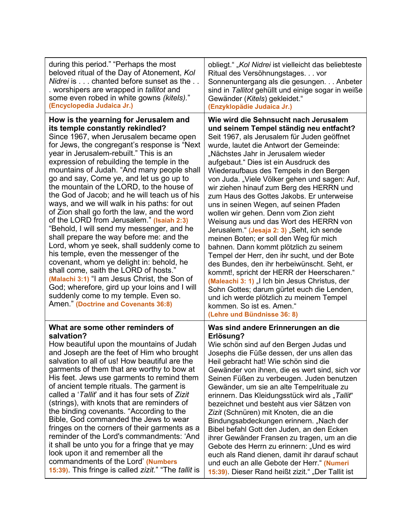| during this period." "Perhaps the most                                                                                                                                                                                                                                                                                                                                                                                                                                                                                                                                                                                                                                                                                                                                                                                                                                                                                                                                                                                                                 | obliegt." "Kol Nidrei ist vielleicht das beliebteste                                                                                                                                                                                                                                                                                                                                                                                                                                                                                                                                                                                                                                                                                                                                                                                                                                                                                                                                                                                                               |
|--------------------------------------------------------------------------------------------------------------------------------------------------------------------------------------------------------------------------------------------------------------------------------------------------------------------------------------------------------------------------------------------------------------------------------------------------------------------------------------------------------------------------------------------------------------------------------------------------------------------------------------------------------------------------------------------------------------------------------------------------------------------------------------------------------------------------------------------------------------------------------------------------------------------------------------------------------------------------------------------------------------------------------------------------------|--------------------------------------------------------------------------------------------------------------------------------------------------------------------------------------------------------------------------------------------------------------------------------------------------------------------------------------------------------------------------------------------------------------------------------------------------------------------------------------------------------------------------------------------------------------------------------------------------------------------------------------------------------------------------------------------------------------------------------------------------------------------------------------------------------------------------------------------------------------------------------------------------------------------------------------------------------------------------------------------------------------------------------------------------------------------|
| beloved ritual of the Day of Atonement, Kol                                                                                                                                                                                                                                                                                                                                                                                                                                                                                                                                                                                                                                                                                                                                                                                                                                                                                                                                                                                                            | Ritual des Versöhnungstages vor                                                                                                                                                                                                                                                                                                                                                                                                                                                                                                                                                                                                                                                                                                                                                                                                                                                                                                                                                                                                                                    |
| Nidrei is chanted before sunset as the                                                                                                                                                                                                                                                                                                                                                                                                                                                                                                                                                                                                                                                                                                                                                                                                                                                                                                                                                                                                                 | Sonnenuntergang als die gesungen Anbeter                                                                                                                                                                                                                                                                                                                                                                                                                                                                                                                                                                                                                                                                                                                                                                                                                                                                                                                                                                                                                           |
| . worshipers are wrapped in <i>tallitot</i> and                                                                                                                                                                                                                                                                                                                                                                                                                                                                                                                                                                                                                                                                                                                                                                                                                                                                                                                                                                                                        | sind in Tallitot gehüllt und einige sogar in weiße                                                                                                                                                                                                                                                                                                                                                                                                                                                                                                                                                                                                                                                                                                                                                                                                                                                                                                                                                                                                                 |
| some even robed in white gowns (kitels)."                                                                                                                                                                                                                                                                                                                                                                                                                                                                                                                                                                                                                                                                                                                                                                                                                                                                                                                                                                                                              | Gewänder (Kitels) gekleidet."                                                                                                                                                                                                                                                                                                                                                                                                                                                                                                                                                                                                                                                                                                                                                                                                                                                                                                                                                                                                                                      |
| (Encyclopedia Judaica Jr.)                                                                                                                                                                                                                                                                                                                                                                                                                                                                                                                                                                                                                                                                                                                                                                                                                                                                                                                                                                                                                             | (Enzyklopädie Judaica Jr.)                                                                                                                                                                                                                                                                                                                                                                                                                                                                                                                                                                                                                                                                                                                                                                                                                                                                                                                                                                                                                                         |
| How is the yearning for Jerusalem and<br>its temple constantly rekindled?<br>Since 1967, when Jerusalem became open<br>for Jews, the congregant's response is "Next<br>year in Jerusalem-rebuilt." This is an<br>expression of rebuilding the temple in the<br>mountains of Judah. "And many people shall<br>go and say, Come ye, and let us go up to<br>the mountain of the LORD, to the house of<br>the God of Jacob; and he will teach us of his<br>ways, and we will walk in his paths: for out<br>of Zion shall go forth the law, and the word<br>of the LORD from Jerusalem." (Isaiah 2:3)<br>"Behold, I will send my messenger, and he<br>shall prepare the way before me: and the<br>Lord, whom ye seek, shall suddenly come to<br>his temple, even the messenger of the<br>covenant, whom ye delight in: behold, he<br>shall come, saith the LORD of hosts."<br>(Malachi 3:1) "I am Jesus Christ, the Son of<br>God; wherefore, gird up your loins and I will<br>suddenly come to my temple. Even so.<br>Amen." (Doctrine and Covenants 36:8) | Wie wird die Sehnsucht nach Jerusalem<br>und seinem Tempel ständig neu entfacht?<br>Seit 1967, als Jerusalem für Juden geöffnet<br>wurde, lautet die Antwort der Gemeinde:<br>"Nächstes Jahr in Jerusalem wieder<br>aufgebaut." Dies ist ein Ausdruck des<br>Wiederaufbaus des Tempels in den Bergen<br>von Juda. "Viele Völker gehen und sagen: Auf,<br>wir ziehen hinauf zum Berg des HERRN und<br>zum Haus des Gottes Jakobs. Er unterweise<br>uns in seinen Wegen, auf seinen Pfaden<br>wollen wir gehen. Denn vom Zion zieht<br>Weisung aus und das Wort des HERRN von<br>Jerusalem." (Jesaja 2: 3) "Seht, ich sende<br>meinen Boten; er soll den Weg für mich<br>bahnen. Dann kommt plötzlich zu seinem<br>Tempel der Herr, den ihr sucht, und der Bote<br>des Bundes, den ihr herbeiwünscht. Seht, er<br>kommt!, spricht der HERR der Heerscharen."<br>(Maleachi 3: 1) "I Ich bin Jesus Christus, der<br>Sohn Gottes; darum gürtet euch die Lenden,<br>und ich werde plötzlich zu meinem Tempel<br>kommen. So ist es. Amen."<br>(Lehre und Bündnisse 36: 8) |
| What are some other reminders of                                                                                                                                                                                                                                                                                                                                                                                                                                                                                                                                                                                                                                                                                                                                                                                                                                                                                                                                                                                                                       | Was sind andere Erinnerungen an die                                                                                                                                                                                                                                                                                                                                                                                                                                                                                                                                                                                                                                                                                                                                                                                                                                                                                                                                                                                                                                |
| salvation?                                                                                                                                                                                                                                                                                                                                                                                                                                                                                                                                                                                                                                                                                                                                                                                                                                                                                                                                                                                                                                             | Erlösung?                                                                                                                                                                                                                                                                                                                                                                                                                                                                                                                                                                                                                                                                                                                                                                                                                                                                                                                                                                                                                                                          |
| How beautiful upon the mountains of Judah                                                                                                                                                                                                                                                                                                                                                                                                                                                                                                                                                                                                                                                                                                                                                                                                                                                                                                                                                                                                              | Wie schön sind auf den Bergen Judas und                                                                                                                                                                                                                                                                                                                                                                                                                                                                                                                                                                                                                                                                                                                                                                                                                                                                                                                                                                                                                            |
| and Joseph are the feet of Him who brought                                                                                                                                                                                                                                                                                                                                                                                                                                                                                                                                                                                                                                                                                                                                                                                                                                                                                                                                                                                                             | Josephs die Füße dessen, der uns allen das                                                                                                                                                                                                                                                                                                                                                                                                                                                                                                                                                                                                                                                                                                                                                                                                                                                                                                                                                                                                                         |
| salvation to all of us! How beautiful are the                                                                                                                                                                                                                                                                                                                                                                                                                                                                                                                                                                                                                                                                                                                                                                                                                                                                                                                                                                                                          | Heil gebracht hat! Wie schön sind die                                                                                                                                                                                                                                                                                                                                                                                                                                                                                                                                                                                                                                                                                                                                                                                                                                                                                                                                                                                                                              |
| garments of them that are worthy to bow at                                                                                                                                                                                                                                                                                                                                                                                                                                                                                                                                                                                                                                                                                                                                                                                                                                                                                                                                                                                                             | Gewänder von ihnen, die es wert sind, sich vor                                                                                                                                                                                                                                                                                                                                                                                                                                                                                                                                                                                                                                                                                                                                                                                                                                                                                                                                                                                                                     |
| His feet. Jews use garments to remind them                                                                                                                                                                                                                                                                                                                                                                                                                                                                                                                                                                                                                                                                                                                                                                                                                                                                                                                                                                                                             | Seinen Füßen zu verbeugen. Juden benutzen                                                                                                                                                                                                                                                                                                                                                                                                                                                                                                                                                                                                                                                                                                                                                                                                                                                                                                                                                                                                                          |
| of ancient temple rituals. The garment is                                                                                                                                                                                                                                                                                                                                                                                                                                                                                                                                                                                                                                                                                                                                                                                                                                                                                                                                                                                                              | Gewänder, um sie an alte Tempelrituale zu                                                                                                                                                                                                                                                                                                                                                                                                                                                                                                                                                                                                                                                                                                                                                                                                                                                                                                                                                                                                                          |
| called a 'Tallit' and it has four sets of Zizit                                                                                                                                                                                                                                                                                                                                                                                                                                                                                                                                                                                                                                                                                                                                                                                                                                                                                                                                                                                                        | erinnern. Das Kleidungsstück wird als "Tallit"                                                                                                                                                                                                                                                                                                                                                                                                                                                                                                                                                                                                                                                                                                                                                                                                                                                                                                                                                                                                                     |
| (strings), with knots that are reminders of                                                                                                                                                                                                                                                                                                                                                                                                                                                                                                                                                                                                                                                                                                                                                                                                                                                                                                                                                                                                            | bezeichnet und besteht aus vier Sätzen von                                                                                                                                                                                                                                                                                                                                                                                                                                                                                                                                                                                                                                                                                                                                                                                                                                                                                                                                                                                                                         |
| the binding covenants. "According to the                                                                                                                                                                                                                                                                                                                                                                                                                                                                                                                                                                                                                                                                                                                                                                                                                                                                                                                                                                                                               | Zizit (Schnüren) mit Knoten, die an die                                                                                                                                                                                                                                                                                                                                                                                                                                                                                                                                                                                                                                                                                                                                                                                                                                                                                                                                                                                                                            |
| Bible, God commanded the Jews to wear                                                                                                                                                                                                                                                                                                                                                                                                                                                                                                                                                                                                                                                                                                                                                                                                                                                                                                                                                                                                                  | Bindungsabdeckungen erinnern. "Nach der                                                                                                                                                                                                                                                                                                                                                                                                                                                                                                                                                                                                                                                                                                                                                                                                                                                                                                                                                                                                                            |
| fringes on the corners of their garments as a                                                                                                                                                                                                                                                                                                                                                                                                                                                                                                                                                                                                                                                                                                                                                                                                                                                                                                                                                                                                          | Bibel befahl Gott den Juden, an den Ecken                                                                                                                                                                                                                                                                                                                                                                                                                                                                                                                                                                                                                                                                                                                                                                                                                                                                                                                                                                                                                          |
| reminder of the Lord's commandments: 'And                                                                                                                                                                                                                                                                                                                                                                                                                                                                                                                                                                                                                                                                                                                                                                                                                                                                                                                                                                                                              | ihrer Gewänder Fransen zu tragen, um an die                                                                                                                                                                                                                                                                                                                                                                                                                                                                                                                                                                                                                                                                                                                                                                                                                                                                                                                                                                                                                        |
| it shall be unto you for a fringe that ye may                                                                                                                                                                                                                                                                                                                                                                                                                                                                                                                                                                                                                                                                                                                                                                                                                                                                                                                                                                                                          | Gebote des Herrn zu erinnern: "Und es wird                                                                                                                                                                                                                                                                                                                                                                                                                                                                                                                                                                                                                                                                                                                                                                                                                                                                                                                                                                                                                         |
| look upon it and remember all the                                                                                                                                                                                                                                                                                                                                                                                                                                                                                                                                                                                                                                                                                                                                                                                                                                                                                                                                                                                                                      | euch als Rand dienen, damit ihr darauf schaut                                                                                                                                                                                                                                                                                                                                                                                                                                                                                                                                                                                                                                                                                                                                                                                                                                                                                                                                                                                                                      |
| commandments of the Lord' (Numbers                                                                                                                                                                                                                                                                                                                                                                                                                                                                                                                                                                                                                                                                                                                                                                                                                                                                                                                                                                                                                     | und euch an alle Gebote der Herr." (Numeri                                                                                                                                                                                                                                                                                                                                                                                                                                                                                                                                                                                                                                                                                                                                                                                                                                                                                                                                                                                                                         |
| 15:39). This fringe is called zizit." "The tallit is                                                                                                                                                                                                                                                                                                                                                                                                                                                                                                                                                                                                                                                                                                                                                                                                                                                                                                                                                                                                   | 15:39). Dieser Rand heißt zizit." "Der Tallit ist                                                                                                                                                                                                                                                                                                                                                                                                                                                                                                                                                                                                                                                                                                                                                                                                                                                                                                                                                                                                                  |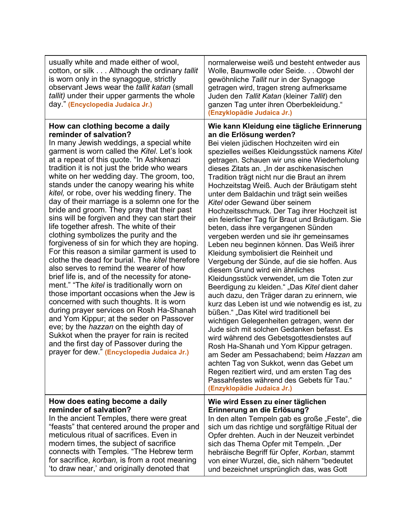| usually white and made either of wool,<br>cotton, or silk Although the ordinary <i>tallit</i><br>is worn only in the synagogue, strictly<br>observant Jews wear the tallit katan (small<br><i>tallit</i> ) under their upper garments the whole<br>day." (Encyclopedia Judaica Jr.)                                                                                                                                                                                                                                                                                                                                                                                                                                                                                                                                                                                                                                                                                                                                                                                                                                                                                                                                                                                                                           | normalerweise weiß und besteht entweder aus<br>Wolle, Baumwolle oder Seide. Obwohl der<br>gewöhnliche Tallit nur in der Synagoge<br>getragen wird, tragen streng aufmerksame<br>Juden den Tallit Katan (kleiner Tallit) den<br>ganzen Tag unter ihren Oberbekleidung."<br>(Enzyklopädie Judaica Jr.)                                                                                                                                                                                                                                                                                                                                                                                                                                                                                                                                                                                                                                                                                                                                                                                                                                                                                                                                                                                                                                                                                                                                                             |
|---------------------------------------------------------------------------------------------------------------------------------------------------------------------------------------------------------------------------------------------------------------------------------------------------------------------------------------------------------------------------------------------------------------------------------------------------------------------------------------------------------------------------------------------------------------------------------------------------------------------------------------------------------------------------------------------------------------------------------------------------------------------------------------------------------------------------------------------------------------------------------------------------------------------------------------------------------------------------------------------------------------------------------------------------------------------------------------------------------------------------------------------------------------------------------------------------------------------------------------------------------------------------------------------------------------|------------------------------------------------------------------------------------------------------------------------------------------------------------------------------------------------------------------------------------------------------------------------------------------------------------------------------------------------------------------------------------------------------------------------------------------------------------------------------------------------------------------------------------------------------------------------------------------------------------------------------------------------------------------------------------------------------------------------------------------------------------------------------------------------------------------------------------------------------------------------------------------------------------------------------------------------------------------------------------------------------------------------------------------------------------------------------------------------------------------------------------------------------------------------------------------------------------------------------------------------------------------------------------------------------------------------------------------------------------------------------------------------------------------------------------------------------------------|
| How can clothing become a daily<br>reminder of salvation?<br>In many Jewish weddings, a special white<br>garment is worn called the Kitel. Let's look<br>at a repeat of this quote. "In Ashkenazi<br>tradition it is not just the bride who wears<br>white on her wedding day. The groom, too,<br>stands under the canopy wearing his white<br>kitel, or robe, over his wedding finery. The<br>day of their marriage is a solemn one for the<br>bride and groom. They pray that their past<br>sins will be forgiven and they can start their<br>life together afresh. The white of their<br>clothing symbolizes the purity and the<br>forgiveness of sin for which they are hoping.<br>For this reason a similar garment is used to<br>clothe the dead for burial. The kitel therefore<br>also serves to remind the wearer of how<br>brief life is, and of the necessity for atone-<br>ment." "The kitel is traditionally worn on<br>those important occasions when the Jew is<br>concerned with such thoughts. It is worn<br>during prayer services on Rosh Ha-Shanah<br>and Yom Kippur; at the seder on Passover<br>eve; by the <i>hazzan</i> on the eighth day of<br>Sukkot when the prayer for rain is recited<br>and the first day of Passover during the<br>prayer for dew." (Encyclopedia Judaica Jr.) | Wie kann Kleidung eine tägliche Erinnerung<br>an die Erlösung werden?<br>Bei vielen jüdischen Hochzeiten wird ein<br>spezielles weißes Kleidungsstück namens Kitel<br>getragen. Schauen wir uns eine Wiederholung<br>dieses Zitats an. "In der aschkenasischen<br>Tradition trägt nicht nur die Braut an ihrem<br>Hochzeitstag Weiß. Auch der Bräutigam steht<br>unter dem Baldachin und trägt sein weißes<br>Kitel oder Gewand über seinem<br>Hochzeitsschmuck. Der Tag ihrer Hochzeit ist<br>ein feierlicher Tag für Braut und Bräutigam. Sie<br>beten, dass ihre vergangenen Sünden<br>vergeben werden und sie ihr gemeinsames<br>Leben neu beginnen können. Das Weiß ihrer<br>Kleidung symbolisiert die Reinheit und<br>Vergebung der Sünde, auf die sie hoffen. Aus<br>diesem Grund wird ein ähnliches<br>Kleidungsstück verwendet, um die Toten zur<br>Beerdigung zu kleiden." "Das Kitel dient daher<br>auch dazu, den Träger daran zu erinnern, wie<br>kurz das Leben ist und wie notwendig es ist, zu<br>büßen." "Das Kitel wird traditionell bei<br>wichtigen Gelegenheiten getragen, wenn der<br>Jude sich mit solchen Gedanken befasst. Es<br>wird während des Gebetsgottesdienstes auf<br>Rosh Ha-Shanah und Yom Kippur getragen.<br>am Seder am Pessachabend; beim Hazzan am<br>achten Tag von Sukkot, wenn das Gebet um<br>Regen rezitiert wird, und am ersten Tag des<br>Passahfestes während des Gebets für Tau."<br>(Enzyklopädie Judaica Jr.) |
| How does eating become a daily<br>reminder of salvation?<br>In the ancient Temples, there were great<br>"feasts" that centered around the proper and<br>meticulous ritual of sacrifices. Even in<br>modern times, the subject of sacrifice<br>connects with Temples. "The Hebrew term<br>for sacrifice, korban, is from a root meaning<br>'to draw near,' and originally denoted that                                                                                                                                                                                                                                                                                                                                                                                                                                                                                                                                                                                                                                                                                                                                                                                                                                                                                                                         | Wie wird Essen zu einer täglichen<br>Erinnerung an die Erlösung?<br>In den alten Tempeln gab es große "Feste", die<br>sich um das richtige und sorgfältige Ritual der<br>Opfer drehten. Auch in der Neuzeit verbindet<br>sich das Thema Opfer mit Tempeln. "Der<br>hebräische Begriff für Opfer, Korban, stammt<br>von einer Wurzel, die" sich nähern "bedeutet<br>und bezeichnet ursprünglich das, was Gott                                                                                                                                                                                                                                                                                                                                                                                                                                                                                                                                                                                                                                                                                                                                                                                                                                                                                                                                                                                                                                                     |